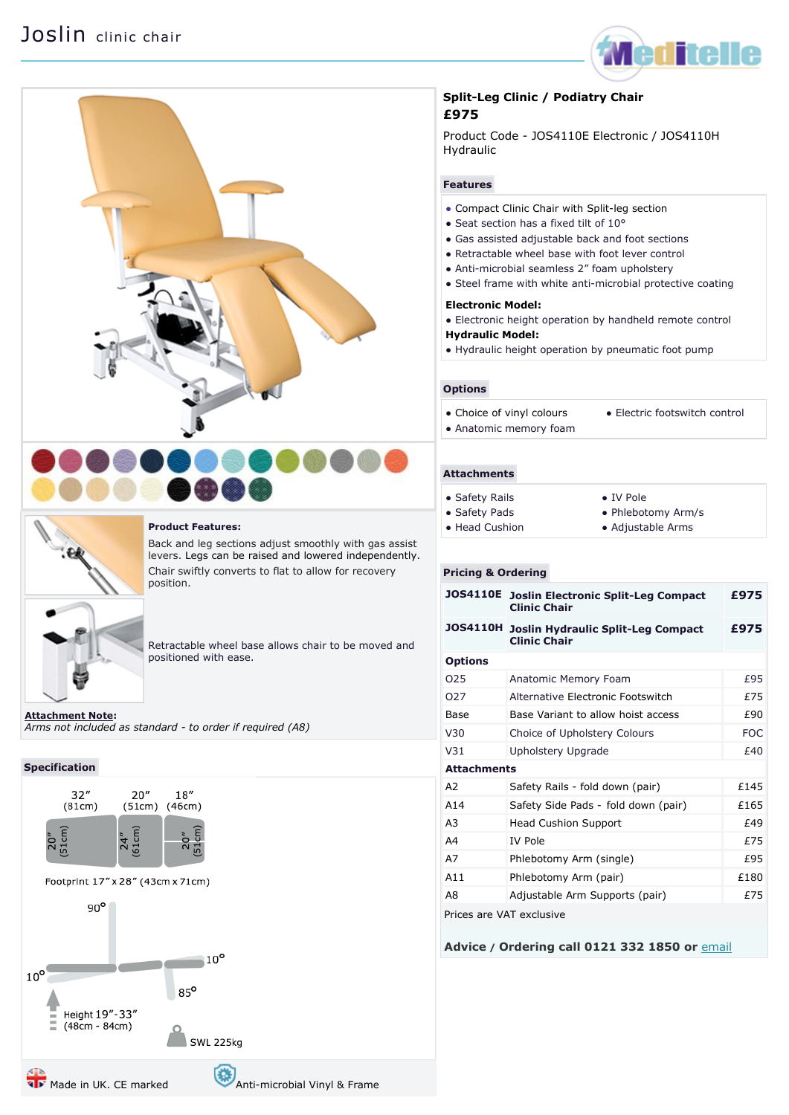# Joslin clinic chair







# **Product Features:**

Back and leg sections adjust smoothly with gas assist levers. Legs can be raised and lowered independently. Chair swiftly converts to flat to allow for recovery position.

Retractable wheel base allows chair to be moved and positioned with ease.

**[Attachment Note:](file:///C:/Users/showe/Documents/meditelle%20-%20Copy/Joslin%20split%20leg%20clinic%20chairs.htm%23attach)** *Arms not included as standard - to order if required (A8)*

#### **Specification**



# **Split-Leg Clinic / Podiatry Chair £975**

Product Code - JOS4110E Electronic / JOS4110H Hydraulic

#### **Features**

- Compact Clinic Chair with Split-leg section
- Seat section has a fixed tilt of 10°
- Gas assisted adjustable back and foot sections
- Retractable wheel base with foot lever control
- Anti-microbial seamless 2" foam upholstery
- Steel frame with white anti-microbial protective coating

### **Electronic Model:**

- Electronic height operation by handheld remote control
- **Hydraulic Model:**
- Hydraulic height operation by pneumatic foot pump

#### **Options**

- Choice of [vinyl colours](http://www.meditelle.co.uk/Vinyl%20Guide.htm) ● Electric footswitch control
- Anatomic memory foam

#### **Attachments**

| • Safety Rails | • IV Pole          |
|----------------|--------------------|
| • Safety Pads  | • Phlebotomy Arm/s |
| • Head Cushion | • Adjustable Arms  |

#### **Pricing & Ordering**

| <b>JOS4110E</b>          | <b>Joslin Electronic Split-Leg Compact</b><br><b>Clinic Chair</b> | £975       |
|--------------------------|-------------------------------------------------------------------|------------|
| <b>JOS4110H</b>          | <b>Joslin Hydraulic Split-Leg Compact</b><br><b>Clinic Chair</b>  | £975       |
| <b>Options</b>           |                                                                   |            |
| 025                      | Anatomic Memory Foam                                              | £95        |
| 027                      | Alternative Electronic Footswitch                                 | £75        |
| Base                     | Base Variant to allow hoist access                                | £90        |
| V30                      | Choice of Upholstery Colours                                      | <b>FOC</b> |
| V <sub>31</sub>          | Upholstery Upgrade                                                | f40        |
| <b>Attachments</b>       |                                                                   |            |
| A2                       | Safety Rails - fold down (pair)                                   | £145       |
| A <sub>14</sub>          | Safety Side Pads - fold down (pair)                               | £165       |
| A <sub>3</sub>           | <b>Head Cushion Support</b>                                       | £49        |
| A4                       | <b>IV Pole</b>                                                    | £75        |
| A7                       | Phlebotomy Arm (single)                                           | £95        |
| A11                      | Phlebotomy Arm (pair)                                             | £180       |
| A8                       | Adjustable Arm Supports (pair)                                    | £75        |
| Prices are VAT exclusive |                                                                   |            |

**Advice / Ordering call 0121 332 1850 or** [email](mailto:sales@meditelleltd.co.uk?subject=Meditelle%20Order%20Enquiry)